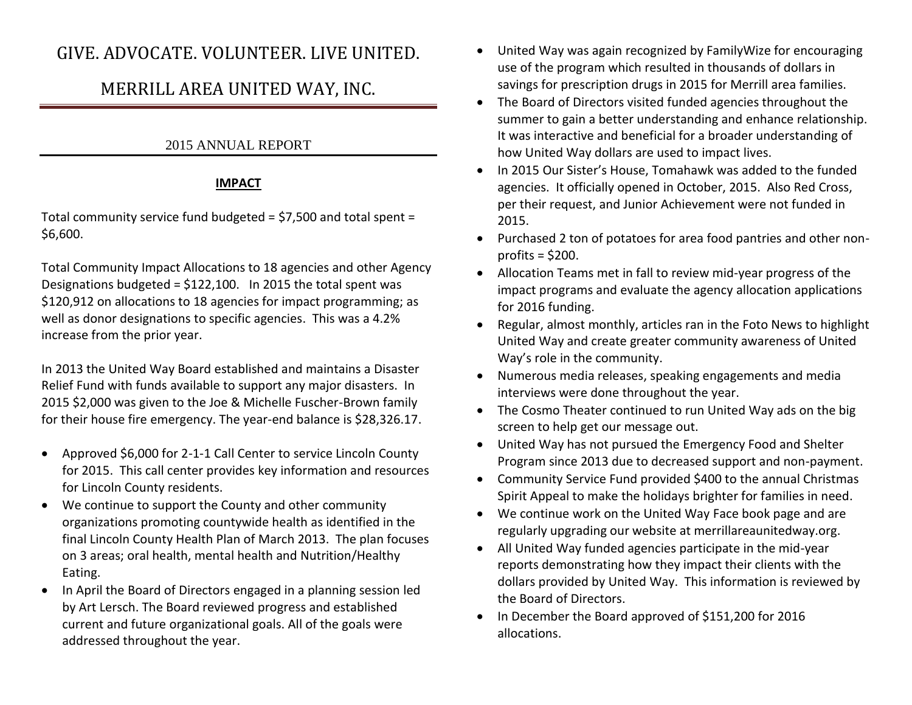# GIVE. ADVOCATE. VOLUNTEER. LIVE UNITED.

# MERRILL AREA UNITED WAY, INC.

## 2015 ANNUAL REPORT

### **IMPACT**

Total community service fund budgeted = \$7,500 and total spent = \$6,600.

Total Community Impact Allocations to 18 agencies and other Agency Designations budgeted = \$122,100. In 2015 the total spent was \$120,912 on allocations to 18 agencies for impact programming; as well as donor designations to specific agencies. This was a 4.2% increase from the prior year.

In 2013 the United Way Board established and maintains a Disaster Relief Fund with funds available to support any major disasters. In 2015 \$2,000 was given to the Joe & Michelle Fuscher-Brown family for their house fire emergency. The year-end balance is \$28,326.17.

- Approved \$6,000 for 2-1-1 Call Center to service Lincoln County for 2015. This call center provides key information and resources for Lincoln County residents.
- We continue to support the County and other community organizations promoting countywide health as identified in the final Lincoln County Health Plan of March 2013. The plan focuses on 3 areas; oral health, mental health and Nutrition/Healthy Eating.
- In April the Board of Directors engaged in a planning session led by Art Lersch. The Board reviewed progress and established current and future organizational goals. All of the goals were addressed throughout the year.
- United Way was again recognized by FamilyWize for encouraging use of the program which resulted in thousands of dollars in savings for prescription drugs in 2015 for Merrill area families.
- The Board of Directors visited funded agencies throughout the summer to gain a better understanding and enhance relationship. It was interactive and beneficial for a broader understanding of how United Way dollars are used to impact lives.
- In 2015 Our Sister's House, Tomahawk was added to the funded agencies. It officially opened in October, 2015. Also Red Cross, per their request, and Junior Achievement were not funded in 2015.
- Purchased 2 ton of potatoes for area food pantries and other nonprofits  $=$  \$200.
- Allocation Teams met in fall to review mid-year progress of the impact programs and evaluate the agency allocation applications for 2016 funding.
- Regular, almost monthly, articles ran in the Foto News to highlight United Way and create greater community awareness of United Way's role in the community.
- Numerous media releases, speaking engagements and media interviews were done throughout the year.
- The Cosmo Theater continued to run United Way ads on the big screen to help get our message out.
- United Way has not pursued the Emergency Food and Shelter Program since 2013 due to decreased support and non-payment.
- Community Service Fund provided \$400 to the annual Christmas Spirit Appeal to make the holidays brighter for families in need.
- We continue work on the United Way Face book page and are regularly upgrading our website at merrillareaunitedway.org.
- All United Way funded agencies participate in the mid-year reports demonstrating how they impact their clients with the dollars provided by United Way. This information is reviewed by the Board of Directors.
- In December the Board approved of \$151,200 for 2016 allocations.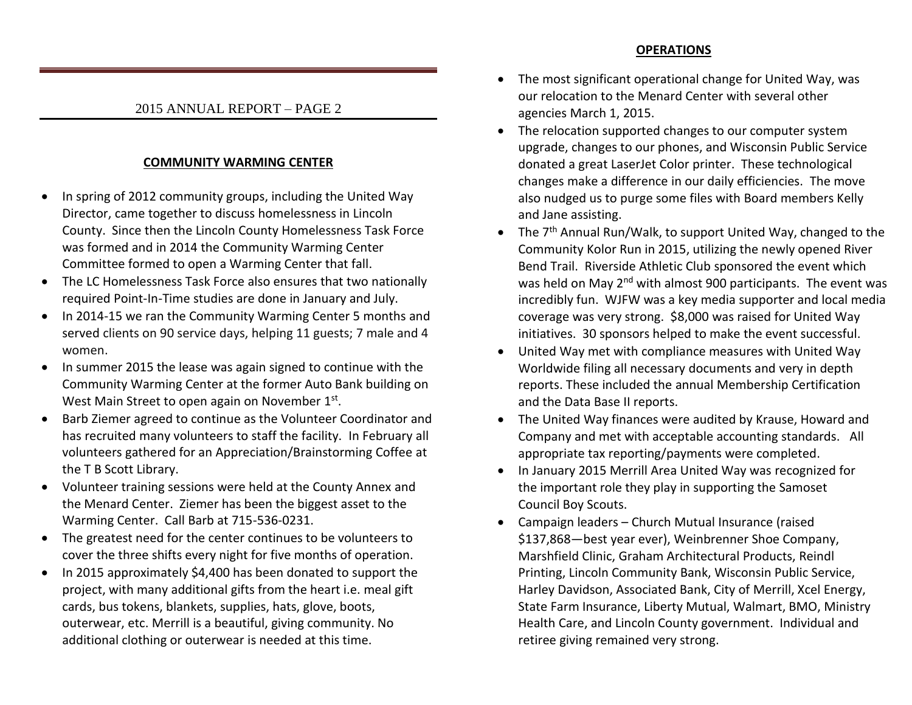#### **OPERATIONS**

#### 2015 ANNUAL REPORT – PAGE 2

#### **COMMUNITY WARMING CENTER**

- In spring of 2012 community groups, including the United Way Director, came together to discuss homelessness in Lincoln County. Since then the Lincoln County Homelessness Task Force was formed and in 2014 the Community Warming Center Committee formed to open a Warming Center that fall.
- The LC Homelessness Task Force also ensures that two nationally required Point-In-Time studies are done in January and July.
- In 2014-15 we ran the Community Warming Center 5 months and served clients on 90 service days, helping 11 guests; 7 male and 4 women.
- In summer 2015 the lease was again signed to continue with the Community Warming Center at the former Auto Bank building on West Main Street to open again on November 1st.
- Barb Ziemer agreed to continue as the Volunteer Coordinator and has recruited many volunteers to staff the facility. In February all volunteers gathered for an Appreciation/Brainstorming Coffee at the T B Scott Library.
- Volunteer training sessions were held at the County Annex and the Menard Center. Ziemer has been the biggest asset to the Warming Center. Call Barb at 715-536-0231.
- The greatest need for the center continues to be volunteers to cover the three shifts every night for five months of operation.
- In 2015 approximately \$4,400 has been donated to support the project, with many additional gifts from the heart i.e. meal gift cards, bus tokens, blankets, supplies, hats, glove, boots, outerwear, etc. Merrill is a beautiful, giving community. No additional clothing or outerwear is needed at this time.
- The most significant operational change for United Way, was our relocation to the Menard Center with several other agencies March 1, 2015.
- The relocation supported changes to our computer system upgrade, changes to our phones, and Wisconsin Public Service donated a great LaserJet Color printer. These technological changes make a difference in our daily efficiencies. The move also nudged us to purge some files with Board members Kelly and Jane assisting.
- The 7<sup>th</sup> Annual Run/Walk, to support United Way, changed to the Community Kolor Run in 2015, utilizing the newly opened River Bend Trail. Riverside Athletic Club sponsored the event which was held on May 2<sup>nd</sup> with almost 900 participants. The event was incredibly fun. WJFW was a key media supporter and local media coverage was very strong. \$8,000 was raised for United Way initiatives. 30 sponsors helped to make the event successful.
- United Way met with compliance measures with United Way Worldwide filing all necessary documents and very in depth reports. These included the annual Membership Certification and the Data Base II reports.
- The United Way finances were audited by Krause, Howard and Company and met with acceptable accounting standards. All appropriate tax reporting/payments were completed.
- In January 2015 Merrill Area United Way was recognized for the important role they play in supporting the Samoset Council Boy Scouts.
- Campaign leaders Church Mutual Insurance (raised \$137,868—best year ever), Weinbrenner Shoe Company, Marshfield Clinic, Graham Architectural Products, Reindl Printing, Lincoln Community Bank, Wisconsin Public Service, Harley Davidson, Associated Bank, City of Merrill, Xcel Energy, State Farm Insurance, Liberty Mutual, Walmart, BMO, Ministry Health Care, and Lincoln County government. Individual and retiree giving remained very strong.